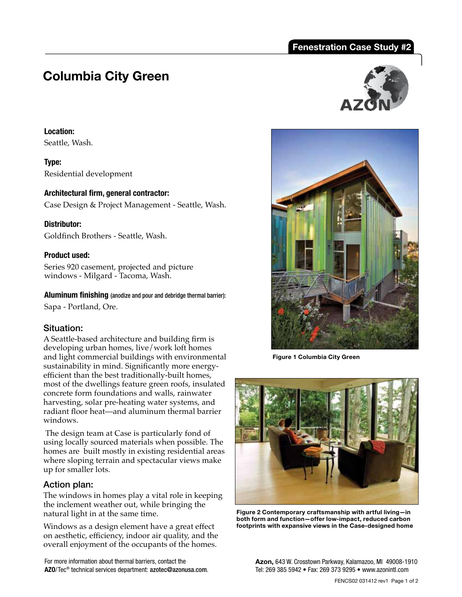# **Fenestration Case Study #2**

# **Columbia City Green**

### **Location:**

Seattle, Wash.

**Type:** Residential development

**Architectural firm, general contractor:**  Case Design & Project Management - Seattle, Wash.

# **Distributor:**

Goldfinch Brothers - Seattle, Wash.

# **Product used:**

Series 920 casement, projected and picture windows - Milgard - Tacoma, Wash.

**Aluminum finishing** (anodize and pour and debridge thermal barrier):

Sapa - Portland, Ore.

# Situation:

A Seattle-based architecture and building firm is developing urban homes, live/work loft homes and light commercial buildings with environmental sustainability in mind. Significantly more energyefficient than the best traditionally-built homes, most of the dwellings feature green roofs, insulated concrete form foundations and walls, rainwater harvesting, solar pre-heating water systems, and radiant floor heat—and aluminum thermal barrier windows.

 The design team at Case is particularly fond of using locally sourced materials when possible. The homes are built mostly in existing residential areas where sloping terrain and spectacular views make up for smaller lots.

# Action plan:

The windows in homes play a vital role in keeping the inclement weather out, while bringing the natural light in at the same time.

Windows as a design element have a great effect on aesthetic, efficiency, indoor air quality, and the overall enjoyment of the occupants of the homes.

For more information about thermal barriers, contact the **AZO**/Tec® technical services department: azotec@azonusa.com.





**Figure 1 Columbia City Green** 



**Figure 2 Contemporary craftsmanship with artful living—in both form and function—offer low-impact, reduced carbon footprints with expansive views in the Case-designed home** 

**Azon,** 643 W. Crosstown Parkway, Kalamazoo, MI 49008-1910 Tel: 269 385 5942 • Fax: 269 373 9295 • www.azonintl.com